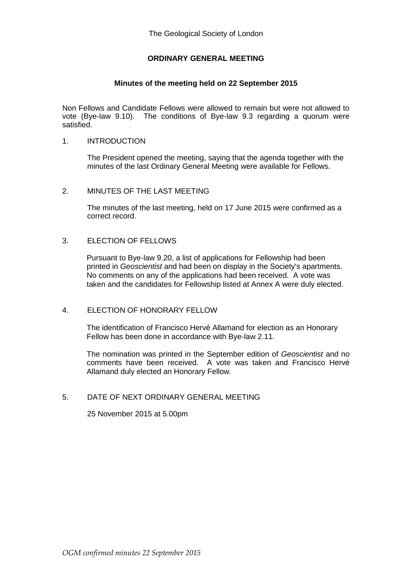# **ORDINARY GENERAL MEETING**

#### **Minutes of the meeting held on 22 September 2015**

Non Fellows and Candidate Fellows were allowed to remain but were not allowed to vote (Bye-law 9.10). The conditions of Bye-law 9.3 regarding a quorum were satisfied.

### 1. INTRODUCTION

The President opened the meeting, saying that the agenda together with the minutes of the last Ordinary General Meeting were available for Fellows.

#### 2. MINUTES OF THE LAST MEETING

The minutes of the last meeting, held on 17 June 2015 were confirmed as a correct record.

#### 3. ELECTION OF FELLOWS

Pursuant to Bye-law 9.20, a list of applications for Fellowship had been printed in *Geoscientist* and had been on display in the Society's apartments. No comments on any of the applications had been received. A vote was taken and the candidates for Fellowship listed at Annex A were duly elected.

### 4. ELECTION OF HONORARY FELLOW

The identification of Francisco Hervé Allamand for election as an Honorary Fellow has been done in accordance with Bye-law 2.11.

The nomination was printed in the September edition of *Geoscientist* and no comments have been received. A vote was taken and Francisco Hervé Allamand duly elected an Honorary Fellow.

## 5. DATE OF NEXT ORDINARY GENERAL MEETING

25 November 2015 at 5.00pm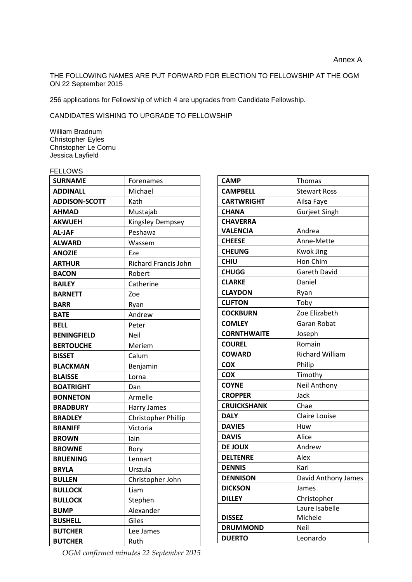THE FOLLOWING NAMES ARE PUT FORWARD FOR ELECTION TO FELLOWSHIP AT THE OGM ON 22 September 2015

256 applications for Fellowship of which 4 are upgrades from Candidate Fellowship.

CANDIDATES WISHING TO UPGRADE TO FELLOWSHIP

William Bradnum Christopher Eyles Christopher Le Cornu Jessica Layfield

| ELLOWS |  |
|--------|--|
|--------|--|

| <b>SURNAME</b>       | Forenames                   |
|----------------------|-----------------------------|
| <b>ADDINALL</b>      | Michael                     |
| <b>ADDISON-SCOTT</b> | Kath                        |
| <b>AHMAD</b>         | Mustajab                    |
| <b>AKWUEH</b>        | <b>Kingsley Dempsey</b>     |
| <b>AL-JAF</b>        | Peshawa                     |
| <b>ALWARD</b>        | Wassem                      |
| <b>ANOZIE</b>        | Eze                         |
| <b>ARTHUR</b>        | <b>Richard Francis John</b> |
| <b>BACON</b>         | Robert                      |
| <b>BAILEY</b>        | Catherine                   |
| <b>BARNETT</b>       | Zoe                         |
| <b>BARR</b>          | Ryan                        |
| <b>BATE</b>          | Andrew                      |
| <b>BELL</b>          | Peter                       |
| <b>BENINGFIELD</b>   | Neil                        |
| <b>BERTOUCHE</b>     | Meriem                      |
| <b>BISSET</b>        | Calum                       |
| <b>BLACKMAN</b>      | Benjamin                    |
| <b>BLAISSE</b>       | Lorna                       |
| <b>BOATRIGHT</b>     | Dan                         |
| <b>BONNETON</b>      | Armelle                     |
| <b>BRADBURY</b>      | Harry James                 |
| <b>BRADLEY</b>       | Christopher Phillip         |
| <b>BRANIFF</b>       | Victoria                    |
| <b>BROWN</b>         | lain                        |
| <b>BROWNE</b>        | Rory                        |
| <b>BRUENING</b>      | Lennart                     |
| <b>BRYLA</b>         | Urszula                     |
| <b>BULLEN</b>        | Christopher John            |
| <b>BULLOCK</b>       | Liam                        |
| <b>BULLOCK</b>       | Stephen                     |
| <b>BUMP</b>          | Alexander                   |
| <b>BUSHELL</b>       | Giles                       |
| <b>BUTCHER</b>       | Lee James                   |
| <b>BUTCHER</b>       | Ruth                        |

**CAMP** Thomas **CAMPBELL** Stewart Ross **CARTWRIGHT** | Ailsa Faye **CHANA** Gurjeet Singh **CHAVERRA VALENCIA** Andrea **CHEESE** Anne-Mette **CHEUNG** Kwok Jing **CHIU** Hon Chim **CHUGG** Gareth David **CLARKE** Daniel **CLAYDON** Ryan **CLIFTON** Toby **COCKBURN** Zoe Elizabeth **COMLEY** Garan Robat **CORNTHWAITE** Joseph **COUREL** Romain **COWARD** Richard William **COX** Philip **COX** Timothy **COYNE** Neil Anthony **CROPPER** Jack **CRUICKSHANK** Chae **DALY** | Claire Louise **DAVIES** Huw **DAVIS** Alice **DE JOUX** Andrew **DELTENRE** Alex **DENNIS** Kari **DENNISON** David Anthony James **DICKSON** James **DILLEY** Christopher **DISSEZ** Laure Isabelle Michele **DRUMMOND** Neil **DUERTO** Leonardo

*OGM confirmed minutes 22 September 2015*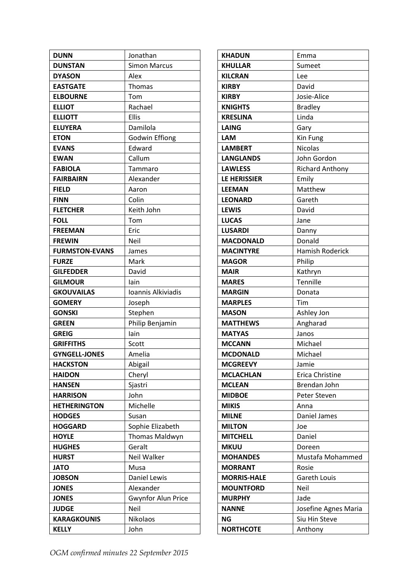| <b>DUNN</b>           | Jonathan                  |
|-----------------------|---------------------------|
| <b>DUNSTAN</b>        | <b>Simon Marcus</b>       |
| <b>DYASON</b>         | Alex                      |
| <b>EASTGATE</b>       | Thomas                    |
| <b>ELBOURNE</b>       | Tom                       |
| <b>ELLIOT</b>         | Rachael                   |
| <b>ELLIOTT</b>        | Ellis                     |
| <b>ELUYERA</b>        | Damilola                  |
| <b>ETON</b>           | <b>Godwin Effiong</b>     |
| <b>EVANS</b>          | Edward                    |
| <b>EWAN</b>           | Callum                    |
| <b>FABIOLA</b>        | Tammaro                   |
| <b>FAIRBAIRN</b>      | Alexander                 |
| <b>FIELD</b>          | Aaron                     |
| <b>FINN</b>           | Colin                     |
| <b>FLETCHER</b>       | Keith John                |
| <b>FOLL</b>           | Tom                       |
| <b>FREEMAN</b>        | Eric                      |
| <b>FREWIN</b>         | Neil                      |
| <b>FURMSTON-EVANS</b> | James                     |
| <b>FURZE</b>          | Mark                      |
| <b>GILFEDDER</b>      | David                     |
| <b>GILMOUR</b>        | lain                      |
| <b>GKOUVAILAS</b>     | Ioannis Alkiviadis        |
| <b>GOMERY</b>         | Joseph                    |
| <b>GONSKI</b>         | Stephen                   |
| <b>GREEN</b>          | Philip Benjamin           |
| <b>GREIG</b>          | lain                      |
| <b>GRIFFITHS</b>      | Scott                     |
| <b>GYNGELL-JONES</b>  | Amelia                    |
| <b>HACKSTON</b>       | Abigail                   |
| <b>HAIDON</b>         | Cheryl                    |
| <b>HANSEN</b>         | Sjastri                   |
| <b>HARRISON</b>       | John                      |
| <b>HETHERINGTON</b>   | Michelle                  |
| <b>HODGES</b>         | Susan                     |
| <b>HOGGARD</b>        | Sophie Elizabeth          |
| <b>HOYLE</b>          | Thomas Maldwyn            |
| <b>HUGHES</b>         | Geralt                    |
| <b>HURST</b>          | Neil Walker               |
| <b>JATO</b>           | Musa                      |
| <b>JOBSON</b>         | <b>Daniel Lewis</b>       |
| <b>JONES</b>          | Alexander                 |
| <b>JONES</b>          | <b>Gwynfor Alun Price</b> |
| <b>JUDGE</b>          | Neil                      |
| <b>KARAGKOUNIS</b>    | <b>Nikolaos</b>           |
| <b>KELLY</b>          | John                      |

| <b>KHADUN</b>       | Emma                   |
|---------------------|------------------------|
| <b>KHULLAR</b>      | Sumeet                 |
| <b>KILCRAN</b>      | Lee                    |
| <b>KIRBY</b>        | David                  |
| <b>KIRBY</b>        | Josie-Alice            |
| <b>KNIGHTS</b>      | <b>Bradley</b>         |
| <b>KRESLINA</b>     | Linda                  |
| <b>LAING</b>        | Gary                   |
| <b>LAM</b>          | Kin Fung               |
| <b>LAMBERT</b>      | <b>Nicolas</b>         |
| <b>LANGLANDS</b>    | John Gordon            |
| <b>LAWLESS</b>      | <b>Richard Anthony</b> |
| <b>LE HERISSIER</b> | Emily                  |
| <b>LEEMAN</b>       | Matthew                |
| <b>LEONARD</b>      | Gareth                 |
| <b>LEWIS</b>        | David                  |
| <b>LUCAS</b>        | Jane                   |
| <b>LUSARDI</b>      | Danny                  |
| <b>MACDONALD</b>    | Donald                 |
| <b>MACINTYRE</b>    | <b>Hamish Roderick</b> |
| <b>MAGOR</b>        | Philip                 |
| <b>MAIR</b>         | Kathryn                |
| <b>MARES</b>        | Tennille               |
| <b>MARGIN</b>       | Donata                 |
| <b>MARPLES</b>      | Tim                    |
| <b>MASON</b>        | Ashley Jon             |
| <b>MATTHEWS</b>     | Angharad               |
| <b>MATYAS</b>       | Janos                  |
| <b>MCCANN</b>       | Michael                |
| <b>MCDONALD</b>     | Michael                |
| <b>MCGREEVY</b>     | Jamie                  |
| <b>MCLACHLAN</b>    | Erica Christine        |
| <b>MCLEAN</b>       | Brendan John           |
| <b>MIDBOE</b>       | Peter Steven           |
| <b>MIKIS</b>        | Anna                   |
| <b>MILNE</b>        | Daniel James           |
| <b>MILTON</b>       | Joe                    |
| <b>MITCHELL</b>     | Daniel                 |
| <b>MKUU</b>         | Doreen                 |
| <b>MOHANDES</b>     | Mustafa Mohammed       |
| <b>MORRANT</b>      | Rosie                  |
| <b>MORRIS-HALE</b>  | <b>Gareth Louis</b>    |
| <b>MOUNTFORD</b>    | Neil                   |
| <b>MURPHY</b>       | Jade                   |
| <b>NANNE</b>        | Josefine Agnes Maria   |
| ΝG                  | Siu Hin Steve          |
| <b>NORTHCOTE</b>    | Anthony                |